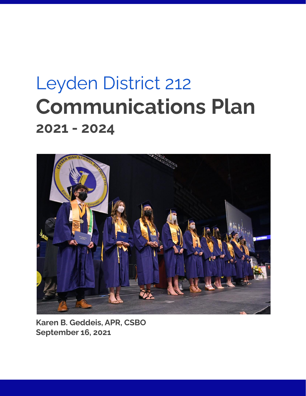# Leyden District 212 **Communications Plan 2021 - 2024**



**Karen B. Geddeis, APR, CSBO September 16, 2021**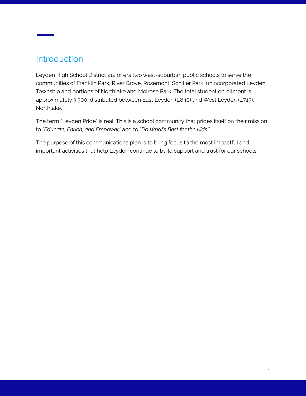# Introduction

Leyden High School District 212 offers two west-suburban public schools to serve the communities of Franklin Park, River Grove, Rosemont, Schiller Park, unincorporated Leyden Township and portions of Northlake and Melrose Park. The total student enrollment is approximately 3,500, distributed between East Leyden (1,840) and West Leyden (1,715). Northlake,

The term "Leyden Pride" is real. This is a school community that prides itself on their mission to *"Educate, Enrich, and Empower,"* and to *"Do What's Best for the Kids."*

The purpose of this communications plan is to bring focus to the most impactful and important activities that help Leyden continue to build support and trust for our schools.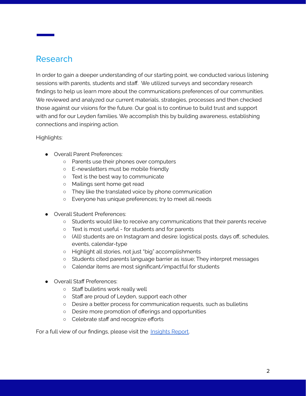# Research

In order to gain a deeper understanding of our starting point, we conducted various listening sessions with parents, students and staff. We utilized surveys and secondary research findings to help us learn more about the communications preferences of our communities. We reviewed and analyzed our current materials, strategies, processes and then checked those against our visions for the future. Our goal is to continue to build trust and support with and for our Leyden families. We accomplish this by building awareness, establishing connections and inspiring action.

#### Highlights:

- Overall Parent Preferences:
	- Parents use their phones over computers
	- E-newsletters must be mobile friendly
	- Text is the best way to communicate
	- Mailings sent home get read
	- They like the translated voice by phone communication
	- Everyone has unique preferences; try to meet all needs
- Overall Student Preferences:
	- Students would like to receive any communications that their parents receive
	- Text is most useful for students and for parents
	- (All) students are on Instagram and desire: logistical posts, days off, schedules, events, calendar-type
	- Highlight all stories, not just "big" accomplishments
	- Students cited parents language barrier as issue; They interpret messages
	- Calendar items are most significant/impactful for students
- Overall Staff Preferences:
	- Staff bulletins work really well
	- Staff are proud of Leyden, support each other
	- Desire a better process for communication requests, such as bulletins
	- Desire more promotion of offerings and opportunities
	- Celebrate staff and recognize efforts

For a full view of our findings, please visit the [Insights](https://docs.google.com/document/d/1ixupggTI9LMQfyTEEwWUQbjsELIiRlnPojD8gIMmXqQ/edit?usp=sharing) Report.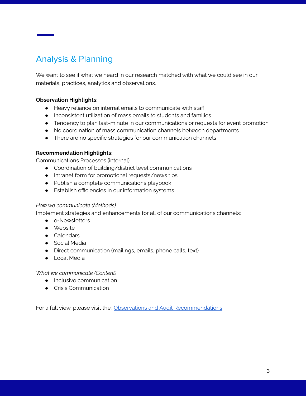# Analysis & Planning

We want to see if what we heard in our research matched with what we could see in our materials, practices, analytics and observations.

#### **Observation Highlights:**

- Heavy reliance on internal emails to communicate with staff
- Inconsistent utilization of mass emails to students and families
- Tendency to plan last-minute in our communications or requests for event promotion
- No coordination of mass communication channels between departments
- There are no specific strategies for our communication channels

#### **Recommendation Highlights:**

Communications Processes (internal)

- Coordination of building/district level communications
- Intranet form for promotional requests/news tips
- Publish a complete communications playbook
- Establish efficiencies in our information systems

#### *How we communicate (Methods)*

Implement strategies and enhancements for all of our communications channels:

- e-Newsletters
- Website
- Calendars
- Social Media
- Direct communication (mailings, emails, phone calls, text)
- Local Media

*What we communicate (Content)*

- Inclusive communication
- Crisis Communication

For a full view, please visit the: Observations and Audit [Recommendations](https://docs.google.com/document/d/1yrzfg2IcVG2jKn4nlndcFG0QU7v5gEEOtr0aN2x3uqE/edit?usp=sharing)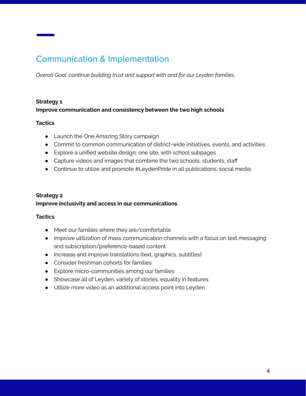# Communication & Implementation

*Overall Goal: continue building trust and support with and for our Leyden families.*

#### **Strategy 1**

#### **Improve communication and consistency between the two high schools**

#### **Tactics**

- Launch the One Amazing Story campaign
- Commit to common communication of district-wide initiatives, events, and activities
- Explore a unified website design; one site, with school subpages
- Capture videos and images that combine the two schools, students, staff
- Continue to utilize and promote #LeydenPride in all publications, social media

#### **Strategy 2 Improve inclusivity and access in our communications**

#### **Tactics**

- Meet our families where they are/comfortable
- Improve utilization of mass communication channels with a focus on text messaging and subscription/preference-based content
- Increase and improve translations (text, graphics, subtitles)
- Consider freshman cohorts for families
- Explore micro-communities among our families
- Showcase all of Leyden, variety of stories, equality in features
- Utilize more video as an additional access point into Leyden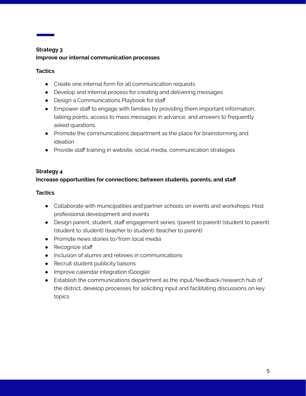## **Strategy 3 Improve our internal communication processes**

#### **Tactics**

- Create one internal form for all communication requests
- Develop and internal process for creating and delivering messages
- Design a Communications Playbook for staff
- Empower staff to engage with families by providing them important information, talking points, access to mass messages in advance, and answers to frequently asked questions.
- Promote the communications department as the place for brainstorming and ideation
- Provide staff training in website, social media, communication strategies

#### **Strategy 4**

## **Increase opportunities for connections; between students, parents, and staff**

#### **Tactics**

- Collaborate with municipalities and partner schools on events and workshops; Host professional development and events
- Design parent, student, staff engagement series: (parent to parent) (student to parent) (student to student) (teacher to student) (teacher to parent)
- Promote news stories to/from local media
- Recognize staff
- Inclusion of alumni and retirees in communications
- Recruit student publicity liaisons
- Improve calendar integration (Google)
- Establish the communications department as the input/feedback/research hub of the district; develop processes for soliciting input and facilitating discussions on key topics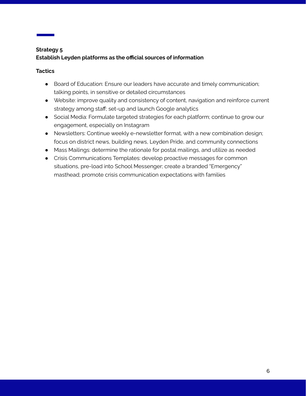## **Strategy 5 Establish Leyden platforms as the official sources of information**

#### **Tactics**

- Board of Education: Ensure our leaders have accurate and timely communication; talking points, in sensitive or detailed circumstances
- Website: improve quality and consistency of content, navigation and reinforce current strategy among staff; set-up and launch Google analytics
- Social Media: Formulate targeted strategies for each platform; continue to grow our engagement, especially on Instagram
- Newsletters: Continue weekly e-newsletter format, with a new combination design; focus on district news, building news, Leyden Pride, and community connections
- Mass Mailings: determine the rationale for postal mailings, and utilize as needed
- Crisis Communications Templates: develop proactive messages for common situations, pre-load into School Messenger; create a branded "Emergency" masthead; promote crisis communication expectations with families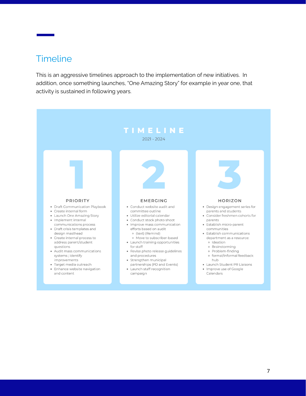# **Timeline**

This is an aggressive timelines approach to the implementation of new initiatives. In addition, once something launches, "One Amazing Story" for example in year one, that activity is sustained in following years.

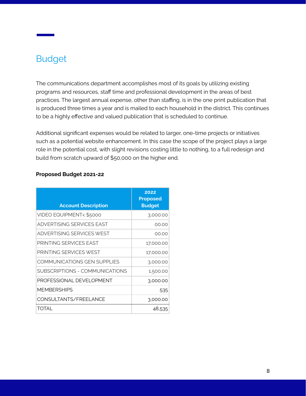# Budget

The communications department accomplishes most of its goals by utilizing existing programs and resources, staff time and professional development in the areas of best practices. The largest annual expense, other than staffing, is in the one print publication that is produced three times a year and is mailed to each household in the district. This continues to be a highly effective and valued publication that is scheduled to continue.

Additional significant expenses would be related to larger, one-time projects or initiatives such as a potential website enhancement. In this case the scope of the project plays a large role in the potential cost, with slight revisions costing little to nothing, to a full redesign and build from scratch upward of \$50,000 on the higher end.

| <b>Account Description</b>     | 2022<br><b>Proposed</b><br><b>Budget</b> |
|--------------------------------|------------------------------------------|
| VIDEO EQUIPMENT< \$5000        | 3,000.00                                 |
| ADVERTISING SERVICES FAST      | 00.00                                    |
| ADVERTISING SERVICES WEST      | 00.00                                    |
| PRINTING SFRVICES FAST         | 17,000.00                                |
| PRINTING SFRVICES WEST         | 17,000.00                                |
| COMMUNICATIONS GEN SUPPLIES    | 3,000.00                                 |
| SUBSCRIPTIONS - COMMUNICATIONS | 1,500.00                                 |
| PROFFSSIONAL DEVELOPMENT       | 3,000.00                                 |
| <b>MEMBERSHIPS</b>             | 535                                      |
| CONSULTANTS/FREELANCE          | 3,000.00                                 |
| TOTAI                          | 48,535                                   |

#### **Proposed Budget 2021-22**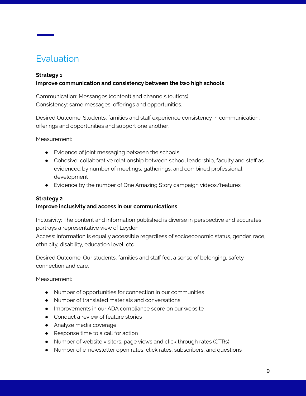# Evaluation

#### **Strategy 1**

#### **Improve communication and consistency between the two high schools**

Communication: Messanges (content) and channels (outlets). Consistency: same messages, offerings and opportunities.

Desired Outcome: Students, families and staff experience consistency in communication, offerings and opportunities and support one another.

Measurement:

- Evidence of joint messaging between the schools
- Cohesive, collaborative relationship between school leadership, faculty and staff as evidenced by number of meetings, gatherings, and combined professional development
- Evidence by the number of One Amazing Story campaign videos/features

#### **Strategy 2**

#### **Improve inclusivity and access in our communications**

Inclusivity: The content and information published is diverse in perspective and accurates portrays a representative view of Leyden.

Access: Information is equally accessible regardless of socioeconomic status, gender, race, ethnicity, disability, education level, etc.

Desired Outcome: Our students, families and staff feel a sense of belonging, safety, connection and care.

Measurement:

- Number of opportunities for connection in our communities
- Number of translated materials and conversations
- Improvements in our ADA compliance score on our website
- Conduct a review of feature stories
- Analyze media coverage
- Response time to a call for action
- Number of website visitors, page views and click through rates (CTRs)
- Number of e-newsletter open rates, click rates, subscribers, and questions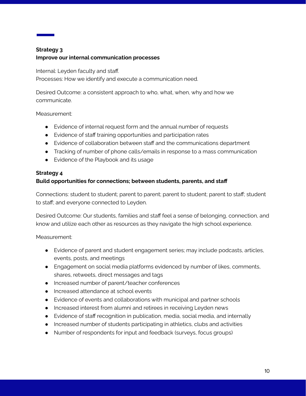## **Strategy 3 Improve our internal communication processes**

Internal: Leyden faculty and staff. Processes: How we identify and execute a communication need.

Desired Outcome: a consistent approach to who, what, when, why and how we communicate.

#### Measurement:

- Evidence of internal request form and the annual number of requests
- Evidence of staff training opportunities and participation rates
- Evidence of collaboration between staff and the communications department
- Tracking of number of phone calls/emails in response to a mass communication
- Evidence of the Playbook and its usage

## **Strategy 4**

## **Build opportunities for connections; between students, parents, and staff**

Connections: student to student; parent to parent; parent to student; parent to staff; student to staff; and everyone connected to Leyden.

Desired Outcome: Our students, families and staff feel a sense of belonging, connection, and know and utilize each other as resources as they navigate the high school experience.

Measurement:

- Evidence of parent and student engagement series; may include podcasts, articles, events, posts, and meetings
- Engagement on social media platforms evidenced by number of likes, comments, shares, retweets, direct messages and tags
- Increased number of parent/teacher conferences
- Increased attendance at school events
- Evidence of events and collaborations with municipal and partner schools
- Increased interest from alumni and retirees in receiving Leyden news
- Evidence of staff recognition in publication, media, social media, and internally
- Increased number of students participating in athletics, clubs and activities
- Number of respondents for input and feedback (surveys, focus groups)